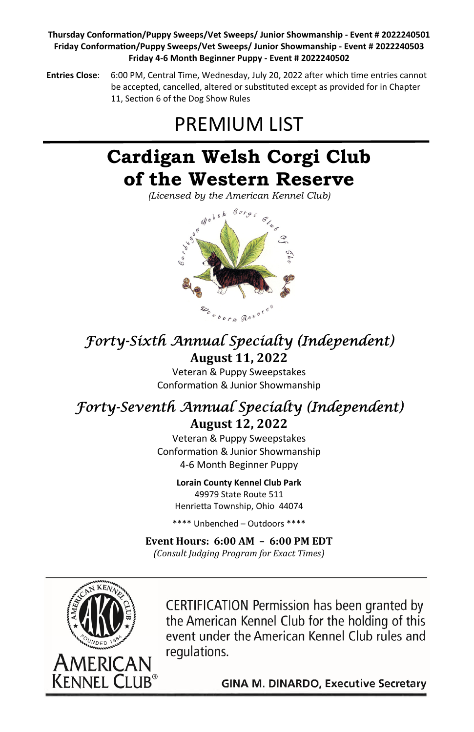### **Thursday ConformaƟon/Puppy Sweeps/Vet Sweeps/ Junior Showmanship - Event # 2022240501 Friday ConformaƟon/Puppy Sweeps/Vet Sweeps/ Junior Showmanship - Event # 2022240503 Friday 4-6 Month Beginner Puppy - Event # 2022240502**

**Entries Close:** 6:00 PM, Central Time, Wednesday, July 20, 2022 after which time entries cannot be accepted, cancelled, altered or substituted except as provided for in Chapter 11, Section 6 of the Dog Show Rules

# PREMIUM LIST

## **Cardigan Welsh Corgi Club of the Western Reserve**

*(Licensed by the American Kennel Club)* 



## Forty-Sixth Annual Specialty (Independent)

### **August 11, 2022**

Veteran & Puppy Sweepstakes Conformation & Junior Showmanship

## Forty-Seventh Annual Specialty (Independent)

**August 12, 2022**

Veteran & Puppy Sweepstakes Conformation & Junior Showmanship 4-6 Month Beginner Puppy

> **Lorain County Kennel Club Park**  49979 State Route 511

Henrietta Township, Ohio 44074

\*\*\*\* Unbenched – Outdoors \*\*\*\*

**Event Hours: 6:00 AM – 6:00 PM EDT** *(Consult Judging Program for Exact Times)*



CERTIFICATION Permission has been granted by the American Kennel Club for the holding of this event under the American Kennel Club rules and regulations.

**GINA M. DINARDO, Executive Secretary**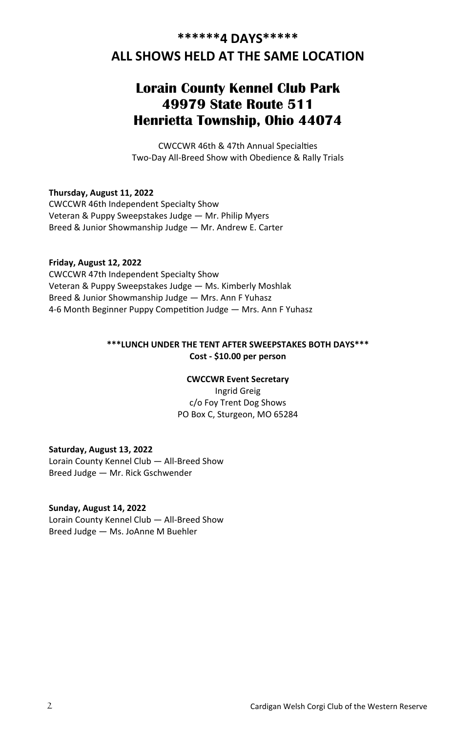### **ALL SHOWS HELD AT THE SAME LOCATION**

### **Lorain County Kennel Club Park 49979 State Route 511 Henrietta Township, Ohio 44074**

CWCCWR 46th & 47th Annual Specialties Two-Day All-Breed Show with Obedience & Rally Trials

**Thursday, August 11, 2022**  CWCCWR 46th Independent Specialty Show Veteran & Puppy Sweepstakes Judge — Mr. Philip Myers Breed & Junior Showmanship Judge — Mr. Andrew E. Carter

**Friday, August 12, 2022**  CWCCWR 47th Independent Specialty Show Veteran & Puppy Sweepstakes Judge — Ms. Kimberly Moshlak Breed & Junior Showmanship Judge — Mrs. Ann F Yuhasz 4-6 Month Beginner Puppy Competition Judge — Mrs. Ann F Yuhasz

### **\*\*\*LUNCH UNDER THE TENT AFTER SWEEPSTAKES BOTH DAYS\*\*\* Cost - \$10.00 per person**

#### **CWCCWR Event Secretary**

Ingrid Greig c/o Foy Trent Dog Shows PO Box C, Sturgeon, MO 65284

**Saturday, August 13, 2022**  Lorain County Kennel Club — All-Breed Show Breed Judge — Mr. Rick Gschwender

### **Sunday, August 14, 2022**

Lorain County Kennel Club — All-Breed Show Breed Judge — Ms. JoAnne M Buehler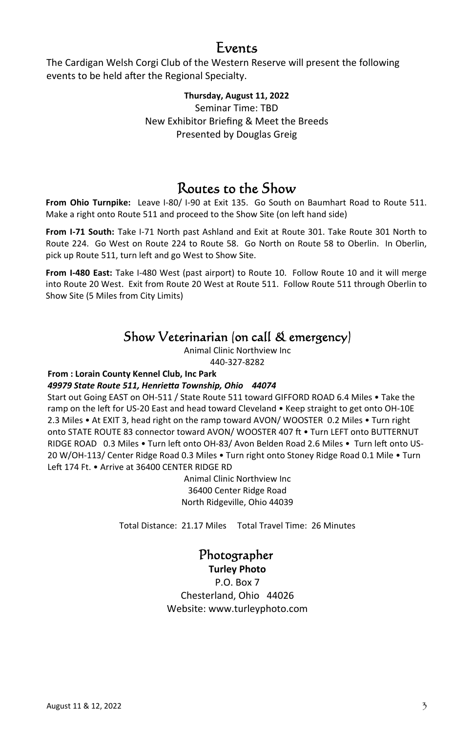### Events

The Cardigan Welsh Corgi Club of the Western Reserve will present the following events to be held after the Regional Specialty.

#### **Thursday, August 11, 2022**  Seminar Time: TBD

New Exhibitor Briefing & Meet the Breeds Presented by Douglas Greig

### Routes to the Show

**From Ohio Turnpike:** Leave I-80/ I-90 at Exit 135. Go South on Baumhart Road to Route 511. Make a right onto Route 511 and proceed to the Show Site (on left hand side)

**From I-71 South:** Take I-71 North past Ashland and Exit at Route 301. Take Route 301 North to Route 224. Go West on Route 224 to Route 58. Go North on Route 58 to Oberlin. In Oberlin, pick up Route 511, turn left and go West to Show Site.

**From I-480 East:** Take I-480 West (past airport) to Route 10. Follow Route 10 and it will merge into Route 20 West. Exit from Route 20 West at Route 511. Follow Route 511 through Oberlin to Show Site (5 Miles from City Limits)

### Show Veterinarian (on call & emergency)

Animal Clinic Northview Inc 440-327-8282

### **From : Lorain County Kennel Club, Inc Park**

### *49979 State Route 511, HenrieƩa Township, Ohio 44074*

Start out Going EAST on OH-511 / State Route 511 toward GIFFORD ROAD 6.4 Miles • Take the ramp on the left for US-20 East and head toward Cleveland • Keep straight to get onto OH-10E 2.3 Miles • At EXIT 3, head right on the ramp toward AVON/ WOOSTER 0.2 Miles • Turn right onto STATE ROUTE 83 connector toward AVON/ WOOSTER 407 ft . Turn LEFT onto BUTTERNUT RIDGE ROAD 0.3 Miles • Turn left onto OH-83/ Avon Belden Road 2.6 Miles • Turn left onto US-20 W/OH-113/ Center Ridge Road 0.3 Miles • Turn right onto Stoney Ridge Road 0.1 Mile • Turn Left 174 Ft. • Arrive at 36400 CENTER RIDGE RD

> Animal Clinic Northview Inc 36400 Center Ridge Road North Ridgeville, Ohio 44039

Total Distance: 21.17 Miles Total Travel Time: 26 Minutes

### Photographer

**Turley Photo** 

P.O. Box 7 Chesterland, Ohio 44026 Website: www.turleyphoto.com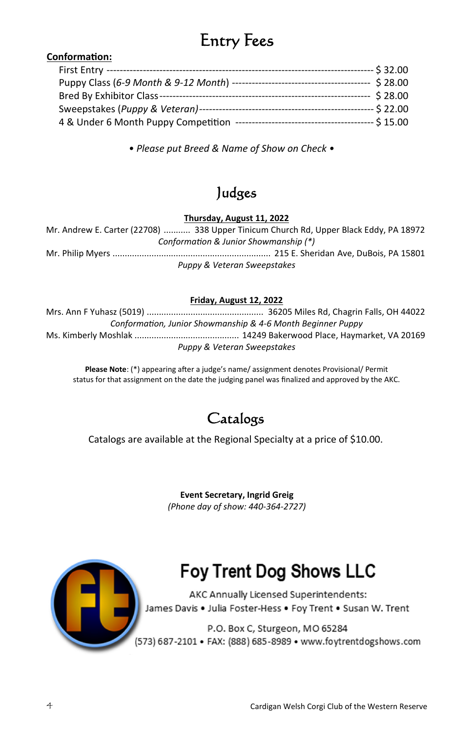## Entry Fees

### **ConformaƟon:**

|                                     | ---- \$ 32.00                                        |
|-------------------------------------|------------------------------------------------------|
|                                     | \$28.00                                              |
|                                     | $-528.00$                                            |
|                                     | --- \$ 22.00                                         |
| 4 & Under 6 Month Puppy Competition | --- \$ 15.00<br>------------------------------------ |

*• Please put Breed & Name of Show on Check •*

## Judges

**Thursday, August 11, 2022** 

Mr. Andrew E. Carter (22708) ........... 338 Upper Tinicum Church Rd, Upper Black Eddy, PA 18972 *ConformaƟon & Junior Showmanship (\*)*  Mr. Philip Myers ................................................................. 215 E. Sheridan Ave, DuBois, PA 15801 *Puppy & Veteran Sweepstakes* 

### **Friday, August 12, 2022**

Mrs. Ann F Yuhasz (5019) ................................................ 36205 Miles Rd, Chagrin Falls, OH 44022 *ConformaƟon, Junior Showmanship & 4-6 Month Beginner Puppy*  Ms. Kimberly Moshlak ........................................... 14249 Bakerwood Place, Haymarket, VA 20169 *Puppy & Veteran Sweepstakes* 

Please Note: (\*) appearing after a judge's name/ assignment denotes Provisional/ Permit status for that assignment on the date the judging panel was finalized and approved by the AKC.

### Catalogs

Catalogs are available at the Regional Specialty at a price of \$10.00.

**Event Secretary, Ingrid Greig**  *(Phone day of show: 440-364-2727)*



## **Foy Trent Dog Shows LLC**

AKC Annually Licensed Superintendents: James Davis . Julia Foster-Hess . Foy Trent . Susan W. Trent

P.O. Box C, Sturgeon, MO 65284 (573) 687-2101 · FAX: (888) 685-8989 · www.foytrentdogshows.com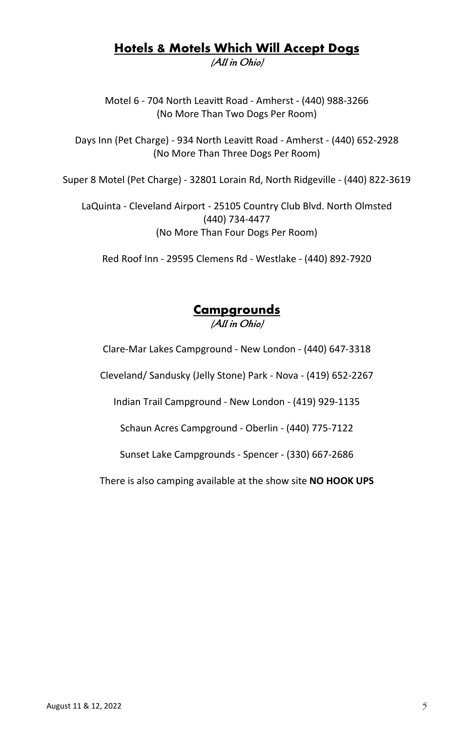### **Hotels & Motels Which Will Accept Dogs**  (All in Ohio)

Motel 6 - 704 North LeaviƩ Road - Amherst - (440) 988-3266 (No More Than Two Dogs Per Room)

Days Inn (Pet Charge) - 934 North Leavitt Road - Amherst - (440) 652-2928 (No More Than Three Dogs Per Room)

Super 8 Motel (Pet Charge) - 32801 Lorain Rd, North Ridgeville - (440) 822-3619

LaQuinta - Cleveland Airport - 25105 Country Club Blvd. North Olmsted (440) 734-4477 (No More Than Four Dogs Per Room)

Red Roof Inn - 29595 Clemens Rd - Westlake - (440) 892-7920

### **Campgrounds**  (All in Ohio)

Clare-Mar Lakes Campground - New London - (440) 647-3318

Cleveland/ Sandusky (Jelly Stone) Park - Nova - (419) 652-2267

Indian Trail Campground - New London - (419) 929-1135

Schaun Acres Campground - Oberlin - (440) 775-7122

Sunset Lake Campgrounds - Spencer - (330) 667-2686

There is also camping available at the show site **NO HOOK UPS**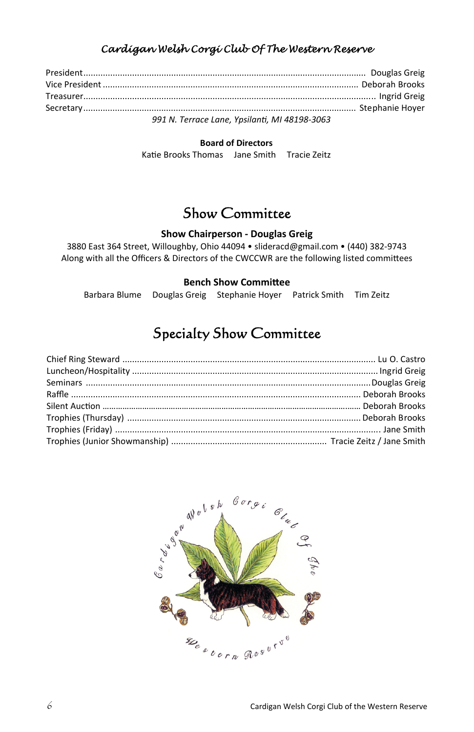### Cardigan Welsh Corgi Club Of The Western Reserve

| 991 N. Terrace Lane, Ypsilanti, MI 48198-3063 |  |
|-----------------------------------------------|--|

#### **Board of Directors**

Katie Brooks Thomas Jane Smith Tracie Zeitz

### Show Committee

### **Show Chairperson - Douglas Greig**

3880 East 364 Street, Willoughby, Ohio 44094 • slideracd@gmail.com • (440) 382-9743 Along with all the Officers & Directors of the CWCCWR are the following listed committees

#### **Bench Show Committee**

Barbara Blume Douglas Greig Stephanie Hoyer Patrick Smith Tim Zeitz

### Specialty Show Committee

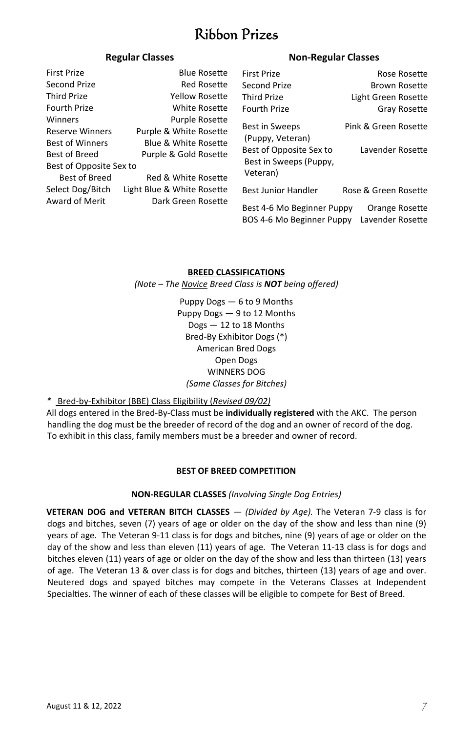### Ribbon Prizes

### **Regular Classes Non-Regular Classes**

| <b>First Prize</b>      | <b>Blue Rosette</b>             | First Prize                | Rose Rosette         |
|-------------------------|---------------------------------|----------------------------|----------------------|
| Second Prize            | <b>Red Rosette</b>              | Second Prize               | <b>Brown Rosette</b> |
| <b>Third Prize</b>      | Yellow Rosette                  | <b>Third Prize</b>         | Light Green Rosette  |
| Fourth Prize            | White Rosette                   | <b>Fourth Prize</b>        | Gray Rosette         |
| Winners                 | <b>Purple Rosette</b>           | <b>Best in Sweeps</b>      | Pink & Green Rosette |
| <b>Reserve Winners</b>  | Purple & White Rosette          |                            |                      |
| <b>Best of Winners</b>  | <b>Blue &amp; White Rosette</b> | (Puppy, Veteran)           |                      |
| <b>Best of Breed</b>    | Purple & Gold Rosette           | Best of Opposite Sex to    | Lavender Rosette     |
| Best of Opposite Sex to |                                 | Best in Sweeps (Puppy,     |                      |
| <b>Best of Breed</b>    | Red & White Rosette             | Veteran)                   |                      |
| Select Dog/Bitch        | Light Blue & White Rosette      | <b>Best Junior Handler</b> | Rose & Green Rosette |
| Award of Merit          | Dark Green Rosette              | Best 4-6 Mo Beginner Puppy | Orange Rosette       |
|                         |                                 | BOS 4-6 Mo Beginner Puppy  | Lavender Rosette     |

### **BREED CLASSIFICATIONS**

*(Note – The Novice Breed Class is NOT being offered)* 

Puppy Dogs — 6 to 9 Months Puppy Dogs — 9 to 12 Months Dogs — 12 to 18 Months Bred-By Exhibitor Dogs (\*) American Bred Dogs Open Dogs WINNERS DOG *(Same Classes for Bitches)* 

### *\** Bred-by-Exhibitor (BBE) Class Eligibility (*Revised 09/02)*

All dogs entered in the Bred-By-Class must be **individually registered** with the AKC. The person handling the dog must be the breeder of record of the dog and an owner of record of the dog. To exhibit in this class, family members must be a breeder and owner of record.

### **BEST OF BREED COMPETITION**

### **NON-REGULAR CLASSES** *(Involving Single Dog Entries)*

**VETERAN DOG and VETERAN BITCH CLASSES** — *(Divided by Age).* The Veteran 7-9 class is for dogs and bitches, seven (7) years of age or older on the day of the show and less than nine (9) years of age. The Veteran 9-11 class is for dogs and bitches, nine (9) years of age or older on the day of the show and less than eleven (11) years of age. The Veteran 11-13 class is for dogs and bitches eleven (11) years of age or older on the day of the show and less than thirteen (13) years of age. The Veteran 13 & over class is for dogs and bitches, thirteen (13) years of age and over. Neutered dogs and spayed bitches may compete in the Veterans Classes at Independent Specialties. The winner of each of these classes will be eligible to compete for Best of Breed.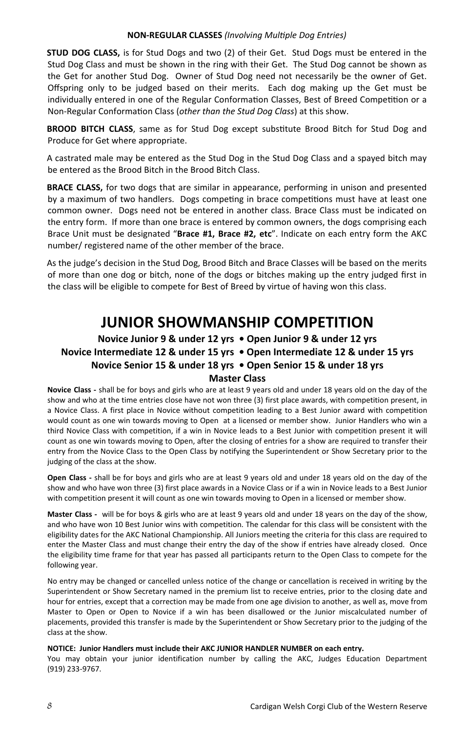#### **NON-REGULAR CLASSES** *(Involving MulƟple Dog Entries)*

**STUD DOG CLASS,** is for Stud Dogs and two (2) of their Get. Stud Dogs must be entered in the Stud Dog Class and must be shown in the ring with their Get. The Stud Dog cannot be shown as the Get for another Stud Dog. Owner of Stud Dog need not necessarily be the owner of Get. Offspring only to be judged based on their merits. Each dog making up the Get must be individually entered in one of the Regular Conformation Classes, Best of Breed Competition or a Non-Regular ConformaƟon Class (*other than the Stud Dog Class*) at this show.

**BROOD BITCH CLASS**, same as for Stud Dog except substitute Brood Bitch for Stud Dog and Produce for Get where appropriate.

A castrated male may be entered as the Stud Dog in the Stud Dog Class and a spayed bitch may be entered as the Brood Bitch in the Brood Bitch Class.

**BRACE CLASS,** for two dogs that are similar in appearance, performing in unison and presented by a maximum of two handlers. Dogs competing in brace competitions must have at least one common owner. Dogs need not be entered in another class. Brace Class must be indicated on the entry form. If more than one brace is entered by common owners, the dogs comprising each Brace Unit must be designated "**Brace #1, Brace #2, etc**". Indicate on each entry form the AKC number/ registered name of the other member of the brace.

As the judge's decision in the Stud Dog, Brood Bitch and Brace Classes will be based on the merits of more than one dog or bitch, none of the dogs or bitches making up the entry judged first in the class will be eligible to compete for Best of Breed by virtue of having won this class.

### **JUNIOR SHOWMANSHIP COMPETITION**

### **Novice Junior 9 & under 12 yrs • Open Junior 9 & under 12 yrs Novice Intermediate 12 & under 15 yrs • Open Intermediate 12 & under 15 yrs Novice Senior 15 & under 18 yrs • Open Senior 15 & under 18 yrs Master Class**

**Novice Class -** shall be for boys and girls who are at least 9 years old and under 18 years old on the day of the show and who at the time entries close have not won three (3) first place awards, with competition present, in a Novice Class. A first place in Novice without competition leading to a Best Junior award with competition would count as one win towards moving to Open at a licensed or member show. Junior Handlers who win a third Novice Class with competition, if a win in Novice leads to a Best Junior with competition present it will count as one win towards moving to Open, after the closing of entries for a show are required to transfer their entry from the Novice Class to the Open Class by notifying the Superintendent or Show Secretary prior to the judging of the class at the show.

**Open Class -** shall be for boys and girls who are at least 9 years old and under 18 years old on the day of the show and who have won three (3) first place awards in a Novice Class or if a win in Novice leads to a Best Junior with competition present it will count as one win towards moving to Open in a licensed or member show.

**Master Class -** will be for boys & girls who are at least 9 years old and under 18 years on the day of the show, and who have won 10 Best Junior wins with competition. The calendar for this class will be consistent with the eligibility dates for the AKC National Championship. All Juniors meeting the criteria for this class are required to enter the Master Class and must change their entry the day of the show if entries have already closed. Once the eligibility time frame for that year has passed all participants return to the Open Class to compete for the following year.

No entry may be changed or cancelled unless notice of the change or cancellation is received in writing by the Superintendent or Show Secretary named in the premium list to receive entries, prior to the closing date and hour for entries, except that a correction may be made from one age division to another, as well as, move from Master to Open or Open to Novice if a win has been disallowed or the Junior miscalculated number of placements, provided this transfer is made by the Superintendent or Show Secretary prior to the judging of the class at the show.

#### **NOTICE: Junior Handlers must include their AKC JUNIOR HANDLER NUMBER on each entry.**

You may obtain your junior identification number by calling the AKC, Judges Education Department (919) 233-9767.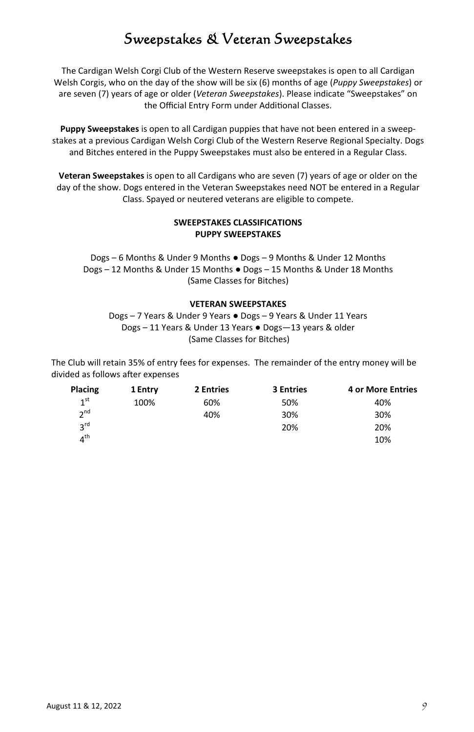### Sweepstakes & Veteran Sweepstakes

The Cardigan Welsh Corgi Club of the Western Reserve sweepstakes is open to all Cardigan Welsh Corgis, who on the day of the show will be six (6) months of age (*Puppy Sweepstakes*) or are seven (7) years of age or older (*Veteran Sweepstakes*). Please indicate "Sweepstakes" on the Official Entry Form under Additional Classes.

**Puppy Sweepstakes** is open to all Cardigan puppies that have not been entered in a sweepstakes at a previous Cardigan Welsh Corgi Club of the Western Reserve Regional Specialty. Dogs and Bitches entered in the Puppy Sweepstakes must also be entered in a Regular Class.

**Veteran Sweepstakes** is open to all Cardigans who are seven (7) years of age or older on the day of the show. Dogs entered in the Veteran Sweepstakes need NOT be entered in a Regular Class. Spayed or neutered veterans are eligible to compete.

#### **SWEEPSTAKES CLASSIFICATIONS PUPPY SWEEPSTAKES**

Dogs – 6 Months & Under 9 Months ● Dogs – 9 Months & Under 12 Months Dogs – 12 Months & Under 15 Months ● Dogs – 15 Months & Under 18 Months (Same Classes for Bitches)

#### **VETERAN SWEEPSTAKES**

Dogs – 7 Years & Under 9 Years ● Dogs – 9 Years & Under 11 Years Dogs – 11 Years & Under 13 Years ● Dogs—13 years & older (Same Classes for Bitches)

The Club will retain 35% of entry fees for expenses. The remainder of the entry money will be divided as follows after expenses

| Placing         | 2 Entries<br><b>3 Entries</b><br>1 Entry |     | <b>4 or More Entries</b> |     |  |
|-----------------|------------------------------------------|-----|--------------------------|-----|--|
| 1 <sup>st</sup> | 100%                                     | 60% | 50%                      | 40% |  |
| 2 <sub>nd</sub> |                                          | 40% | 30%                      | 30% |  |
| $2^{\text{rd}}$ |                                          |     | 20%                      | 20% |  |
| $4^{\text{th}}$ |                                          |     |                          | 10% |  |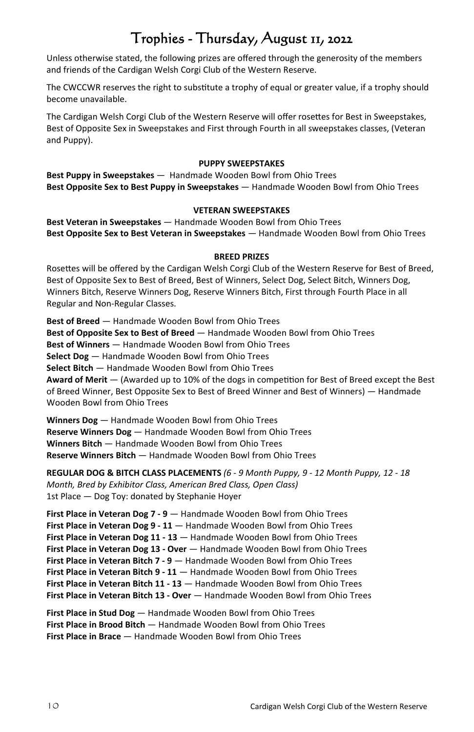## Trophies - Thursday, August 11, 2022

Unless otherwise stated, the following prizes are offered through the generosity of the members and friends of the Cardigan Welsh Corgi Club of the Western Reserve.

The CWCCWR reserves the right to substitute a trophy of equal or greater value, if a trophy should become unavailable.

The Cardigan Welsh Corgi Club of the Western Reserve will offer rosettes for Best in Sweepstakes, Best of Opposite Sex in Sweepstakes and First through Fourth in all sweepstakes classes, (Veteran and Puppy).

#### **PUPPY SWEEPSTAKES**

**Best Puppy in Sweepstakes** — Handmade Wooden Bowl from Ohio Trees **Best Opposite Sex to Best Puppy in Sweepstakes** — Handmade Wooden Bowl from Ohio Trees

#### **VETERAN SWEEPSTAKES**

**Best Veteran in Sweepstakes** — Handmade Wooden Bowl from Ohio Trees **Best Opposite Sex to Best Veteran in Sweepstakes** — Handmade Wooden Bowl from Ohio Trees

#### **BREED PRIZES**

Rosettes will be offered by the Cardigan Welsh Corgi Club of the Western Reserve for Best of Breed. Best of Opposite Sex to Best of Breed, Best of Winners, Select Dog, Select Bitch, Winners Dog, Winners Bitch, Reserve Winners Dog, Reserve Winners Bitch, First through Fourth Place in all Regular and Non-Regular Classes.

**Best of Breed** — Handmade Wooden Bowl from Ohio Trees **Best of Opposite Sex to Best of Breed** — Handmade Wooden Bowl from Ohio Trees **Best of Winners** — Handmade Wooden Bowl from Ohio Trees **Select Dog** — Handmade Wooden Bowl from Ohio Trees **Select Bitch** — Handmade Wooden Bowl from Ohio Trees Award of Merit – (Awarded up to 10% of the dogs in competition for Best of Breed except the Best of Breed Winner, Best Opposite Sex to Best of Breed Winner and Best of Winners) — Handmade Wooden Bowl from Ohio Trees

**Winners Dog** — Handmade Wooden Bowl from Ohio Trees **Reserve Winners Dog** — Handmade Wooden Bowl from Ohio Trees **Winners Bitch** — Handmade Wooden Bowl from Ohio Trees **Reserve Winners Bitch** — Handmade Wooden Bowl from Ohio Trees

**REGULAR DOG & BITCH CLASS PLACEMENTS** *(6 - 9 Month Puppy, 9 - 12 Month Puppy, 12 - 18 Month, Bred by Exhibitor Class, American Bred Class, Open Class)*  1st Place — Dog Toy: donated by Stephanie Hoyer

**First Place in Veteran Dog 7 - 9** — Handmade Wooden Bowl from Ohio Trees **First Place in Veteran Dog 9 - 11** — Handmade Wooden Bowl from Ohio Trees **First Place in Veteran Dog 11 - 13** — Handmade Wooden Bowl from Ohio Trees **First Place in Veteran Dog 13 - Over** — Handmade Wooden Bowl from Ohio Trees **First Place in Veteran Bitch 7 - 9** — Handmade Wooden Bowl from Ohio Trees **First Place in Veteran Bitch 9 - 11** — Handmade Wooden Bowl from Ohio Trees **First Place in Veteran Bitch 11 - 13** — Handmade Wooden Bowl from Ohio Trees **First Place in Veteran Bitch 13 - Over** — Handmade Wooden Bowl from Ohio Trees

First Place in Stud Dog - Handmade Wooden Bowl from Ohio Trees **First Place in Brood Bitch** — Handmade Wooden Bowl from Ohio Trees **First Place in Brace** — Handmade Wooden Bowl from Ohio Trees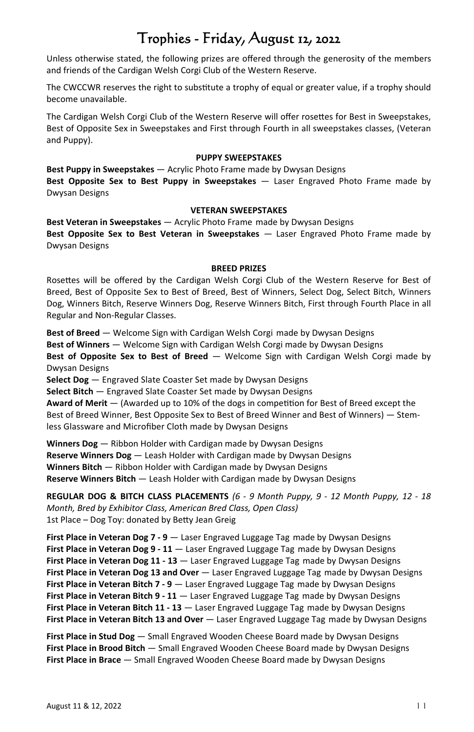## Trophies - Friday, August 12, 2022

Unless otherwise stated, the following prizes are offered through the generosity of the members and friends of the Cardigan Welsh Corgi Club of the Western Reserve.

The CWCCWR reserves the right to substitute a trophy of equal or greater value, if a trophy should become unavailable.

The Cardigan Welsh Corgi Club of the Western Reserve will offer rosettes for Best in Sweepstakes, Best of Opposite Sex in Sweepstakes and First through Fourth in all sweepstakes classes, (Veteran and Puppy).

#### **PUPPY SWEEPSTAKES**

**Best Puppy in Sweepstakes** — Acrylic Photo Frame made by Dwysan Designs **Best Opposite Sex to Best Puppy in Sweepstakes** — Laser Engraved Photo Frame made by Dwysan Designs

#### **VETERAN SWEEPSTAKES**

**Best Veteran in Sweepstakes** — Acrylic Photo Frame made by Dwysan Designs **Best Opposite Sex to Best Veteran in Sweepstakes** — Laser Engraved Photo Frame made by Dwysan Designs

#### **BREED PRIZES**

Rosettes will be offered by the Cardigan Welsh Corgi Club of the Western Reserve for Best of Breed, Best of Opposite Sex to Best of Breed, Best of Winners, Select Dog, Select Bitch, Winners Dog, Winners Bitch, Reserve Winners Dog, Reserve Winners Bitch, First through Fourth Place in all Regular and Non-Regular Classes.

**Best of Breed** — Welcome Sign with Cardigan Welsh Corgi made by Dwysan Designs **Best of Winners** — Welcome Sign with Cardigan Welsh Corgi made by Dwysan Designs **Best of Opposite Sex to Best of Breed** — Welcome Sign with Cardigan Welsh Corgi made by Dwysan Designs

**Select Dog** — Engraved Slate Coaster Set made by Dwysan Designs

**Select Bitch** — Engraved Slate Coaster Set made by Dwysan Designs

Award of Merit — (Awarded up to 10% of the dogs in competition for Best of Breed except the Best of Breed Winner, Best Opposite Sex to Best of Breed Winner and Best of Winners) — Stemless Glassware and Microfiber Cloth made by Dwysan Designs

**Winners Dog** — Ribbon Holder with Cardigan made by Dwysan Designs **Reserve Winners Dog** — Leash Holder with Cardigan made by Dwysan Designs **Winners Bitch** — Ribbon Holder with Cardigan made by Dwysan Designs **Reserve Winners Bitch** — Leash Holder with Cardigan made by Dwysan Designs

**REGULAR DOG & BITCH CLASS PLACEMENTS** *(6 - 9 Month Puppy, 9 - 12 Month Puppy, 12 - 18 Month, Bred by Exhibitor Class, American Bred Class, Open Class)* 1st Place – Dog Toy: donated by Betty Jean Greig

**First Place in Veteran Dog 7 - 9** — Laser Engraved Luggage Tag made by Dwysan Designs **First Place in Veteran Dog 9 - 11** — Laser Engraved Luggage Tag made by Dwysan Designs **First Place in Veteran Dog 11 - 13** — Laser Engraved Luggage Tag made by Dwysan Designs **First Place in Veteran Dog 13 and Over** — Laser Engraved Luggage Tag made by Dwysan Designs **First Place in Veteran Bitch 7 - 9** — Laser Engraved Luggage Tag made by Dwysan Designs **First Place in Veteran Bitch 9 - 11**  $-$  Laser Engraved Luggage Tag made by Dwysan Designs **First Place in Veteran Bitch 11 - 13** — Laser Engraved Luggage Tag made by Dwysan Designs **First Place in Veteran Bitch 13 and Over** — Laser Engraved Luggage Tag made by Dwysan Designs

**First Place in Stud Dog** — Small Engraved Wooden Cheese Board made by Dwysan Designs **First Place in Brood Bitch** — Small Engraved Wooden Cheese Board made by Dwysan Designs **First Place in Brace** — Small Engraved Wooden Cheese Board made by Dwysan Designs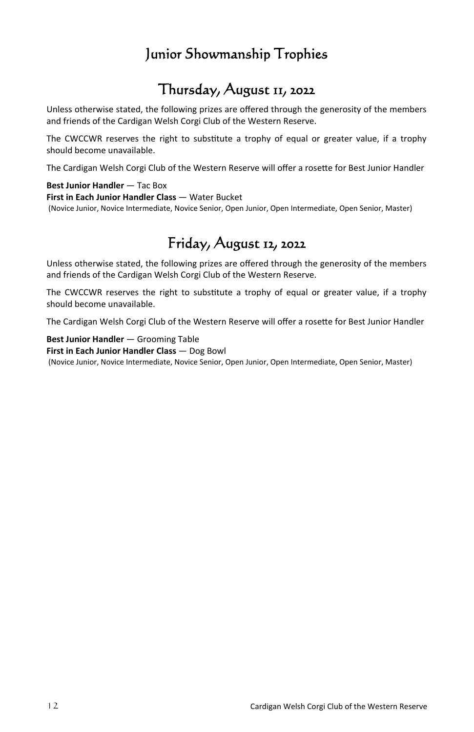### Junior Showmanship Trophies

## Thursday, August 11, 2022

Unless otherwise stated, the following prizes are offered through the generosity of the members and friends of the Cardigan Welsh Corgi Club of the Western Reserve.

The CWCCWR reserves the right to substitute a trophy of equal or greater value, if a trophy should become unavailable.

The Cardigan Welsh Corgi Club of the Western Reserve will offer a rosette for Best Junior Handler

#### **Best Junior Handler** — Tac Box

**First in Each Junior Handler Class — Water Bucket** 

(Novice Junior, Novice Intermediate, Novice Senior, Open Junior, Open Intermediate, Open Senior, Master)

## Friday, August 12, 2022

Unless otherwise stated, the following prizes are offered through the generosity of the members and friends of the Cardigan Welsh Corgi Club of the Western Reserve.

The CWCCWR reserves the right to substitute a trophy of equal or greater value, if a trophy should become unavailable.

The Cardigan Welsh Corgi Club of the Western Reserve will offer a rosette for Best Junior Handler

**Best Junior Handler** — Grooming Table

**First in Each Junior Handler Class** — Dog Bowl (Novice Junior, Novice Intermediate, Novice Senior, Open Junior, Open Intermediate, Open Senior, Master)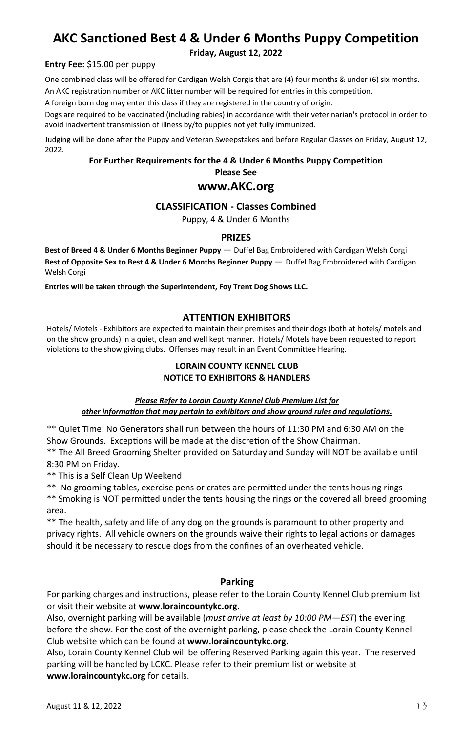### **AKC Sanctioned Best 4 & Under 6 Months Puppy Competition**

**Friday, August 12, 2022**

#### **Entry Fee:** \$15.00 per puppy

One combined class will be offered for Cardigan Welsh Corgis that are (4) four months & under (6) six months. An AKC registration number or AKC litter number will be required for entries in this competition.

A foreign born dog may enter this class if they are registered in the country of origin.

Dogs are required to be vaccinated (including rabies) in accordance with their veterinarian's protocol in order to avoid inadvertent transmission of illness by/to puppies not yet fully immunized.

Judging will be done after the Puppy and Veteran Sweepstakes and before Regular Classes on Friday, August 12, 2022.

### **For Further Requirements for the 4 & Under 6 Months Puppy Competition Please See**

### **www.AKC.org**

### **CLASSIFICATION - Classes Combined**

Puppy, 4 & Under 6 Months

### **PRIZES**

**Best of Breed 4 & Under 6 Months Beginner Puppy** — Duffel Bag Embroidered with Cardigan Welsh Corgi **Best of Opposite Sex to Best 4 & Under 6 Months Beginner Puppy** — Duffel Bag Embroidered with Cardigan Welsh Corgi

**Entries will be taken through the Superintendent, Foy Trent Dog Shows LLC.**

### **ATTENTION EXHIBITORS**

Hotels/ Motels - Exhibitors are expected to maintain their premises and their dogs (both at hotels/ motels and on the show grounds) in a quiet, clean and well kept manner. Hotels/ Motels have been requested to report violations to the show giving clubs. Offenses may result in an Event Committee Hearing.

### **LORAIN COUNTY KENNEL CLUB NOTICE TO EXHIBITORS & HANDLERS**

*Please Refer to Lorain County Kennel Club Premium List for other informaƟon that may pertain to exhibitors and show ground rules and regulations.* 

\*\* Quiet Time: No Generators shall run between the hours of 11:30 PM and 6:30 AM on the Show Grounds. Exceptions will be made at the discretion of the Show Chairman.

\*\* The All Breed Grooming Shelter provided on Saturday and Sunday will NOT be available until 8:30 PM on Friday.

\*\* This is a Self Clean Up Weekend

\*\* No grooming tables, exercise pens or crates are permitted under the tents housing rings

\*\* Smoking is NOT permitted under the tents housing the rings or the covered all breed grooming area.

\*\* The health, safety and life of any dog on the grounds is paramount to other property and privacy rights. All vehicle owners on the grounds waive their rights to legal actions or damages should it be necessary to rescue dogs from the confines of an overheated vehicle.

### **Parking**

For parking charges and instructions, please refer to the Lorain County Kennel Club premium list or visit their website at **www.loraincountykc.org**.

Also, overnight parking will be available (*must arrive at least by 10:00 PM—EST*) the evening before the show. For the cost of the overnight parking, please check the Lorain County Kennel Club website which can be found at **www.loraincountykc.org**.

Also, Lorain County Kennel Club will be offering Reserved Parking again this year. The reserved parking will be handled by LCKC. Please refer to their premium list or website at **www.loraincountykc.org** for details.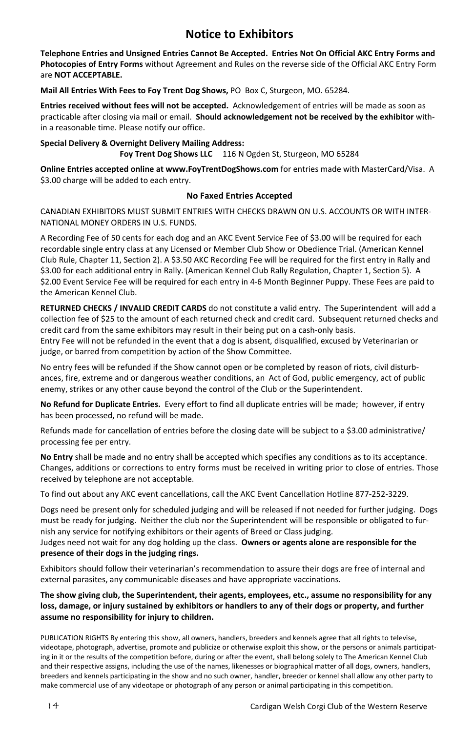### **Notice to Exhibitors**

**Telephone Entries and Unsigned Entries Cannot Be Accepted. Entries Not On Official AKC Entry Forms and Photocopies of Entry Forms** without Agreement and Rules on the reverse side of the Official AKC Entry Form are **NOT ACCEPTABLE.** 

**Mail All Entries With Fees to Foy Trent Dog Shows,** PO Box C, Sturgeon, MO. 65284.

**Entries received without fees will not be accepted.** Acknowledgement of entries will be made as soon as practicable after closing via mail or email. **Should acknowledgement not be received by the exhibitor** within a reasonable time. Please notify our office.

**Special Delivery & Overnight Delivery Mailing Address: Foy Trent Dog Shows LLC** 116 N Ogden St, Sturgeon, MO 65284

**Online Entries accepted online at www.FoyTrentDogShows.com** for entries made with MasterCard/Visa. A \$3.00 charge will be added to each entry.

#### **No Faxed Entries Accepted**

CANADIAN EXHIBITORS MUST SUBMIT ENTRIES WITH CHECKS DRAWN ON U.S. ACCOUNTS OR WITH INTER-NATIONAL MONEY ORDERS IN U.S. FUNDS.

A Recording Fee of 50 cents for each dog and an AKC Event Service Fee of \$3.00 will be required for each recordable single entry class at any Licensed or Member Club Show or Obedience Trial. (American Kennel Club Rule, Chapter 11, Section 2). A \$3.50 AKC Recording Fee will be required for the first entry in Rally and \$3.00 for each additional entry in Rally. (American Kennel Club Rally Regulation, Chapter 1, Section 5). A \$2.00 Event Service Fee will be required for each entry in 4-6 Month Beginner Puppy. These Fees are paid to the American Kennel Club.

**RETURNED CHECKS / INVALID CREDIT CARDS** do not constitute a valid entry. The Superintendent will add a collection fee of \$25 to the amount of each returned check and credit card. Subsequent returned checks and credit card from the same exhibitors may result in their being put on a cash-only basis.

Entry Fee will not be refunded in the event that a dog is absent, disqualified, excused by Veterinarian or judge, or barred from competition by action of the Show Committee.

No entry fees will be refunded if the Show cannot open or be completed by reason of riots, civil disturbances, fire, extreme and or dangerous weather conditions, an Act of God, public emergency, act of public enemy, strikes or any other cause beyond the control of the Club or the Superintendent.

**No Refund for Duplicate Entries.** Every effort to find all duplicate entries will be made; however, if entry has been processed, no refund will be made.

 Refunds made for cancellation of entries before the closing date will be subject to a \$3.00 administrative/ processing fee per entry.

**No Entry** shall be made and no entry shall be accepted which specifies any conditions as to its acceptance. Changes, additions or corrections to entry forms must be received in writing prior to close of entries. Those received by telephone are not acceptable.

To find out about any AKC event cancellations, call the AKC Event Cancellation Hotline 877-252-3229.

Dogs need be present only for scheduled judging and will be released if not needed for further judging. Dogs must be ready for judging. Neither the club nor the Superintendent will be responsible or obligated to furnish any service for notifying exhibitors or their agents of Breed or Class judging.

Judges need not wait for any dog holding up the class. **Owners or agents alone are responsible for the presence of their dogs in the judging rings.** 

Exhibitors should follow their veterinarian's recommendation to assure their dogs are free of internal and external parasites, any communicable diseases and have appropriate vaccinations.

**The show giving club, the Superintendent, their agents, employees, etc., assume no responsibility for any loss, damage, or injury sustained by exhibitors or handlers to any of their dogs or property, and further assume no responsibility for injury to children.** 

PUBLICATION RIGHTS By entering this show, all owners, handlers, breeders and kennels agree that all rights to televise, videotape, photograph, advertise, promote and publicize or otherwise exploit this show, or the persons or animals participating in it or the results of the competition before, during or after the event, shall belong solely to The American Kennel Club and their respective assigns, including the use of the names, likenesses or biographical matter of all dogs, owners, handlers, breeders and kennels participating in the show and no such owner, handler, breeder or kennel shall allow any other party to make commercial use of any videotape or photograph of any person or animal participating in this competition.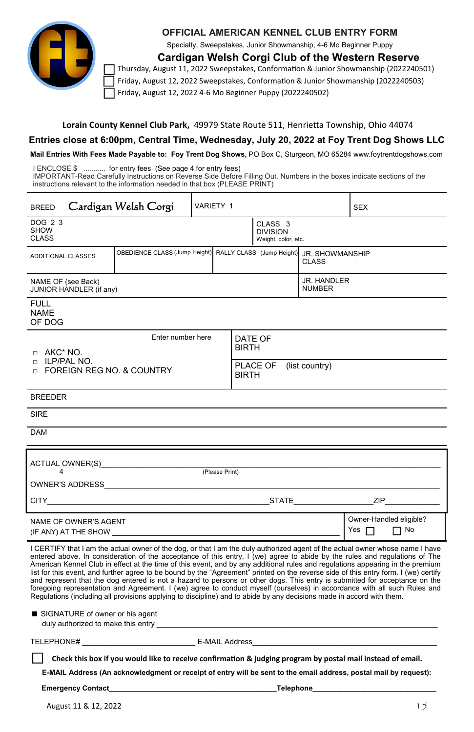

### **OFFICIAL AMERICAN KENNEL CLUB ENTRY FORM**

Specialty, Sweepstakes, Junior Showmanship, 4-6 Mo Beginner Puppy

**Cardigan Welsh Corgi Club of the Western Reserve** 

Thursday, August 11, 2022 Sweepstakes, Conformation & Junior Showmanship (2022240501) Friday, August 12, 2022 Sweepstakes, Conformation & Junior Showmanship (2022240503) Friday, August 12, 2022 4-6 Mo Beginner Puppy (2022240502)

#### Lorain County Kennel Club Park, 49979 State Route 511, Henrietta Township, Ohio 44074

### **Entries close at 6:00pm, Central Time, Wednesday, July 20, 2022 at Foy Trent Dog Shows LLC**

**Mail Entries With Fees Made Payable to: Foy Trent Dog Shows,** PO Box C, Sturgeon, MO 65284 www.foytrentdogshows.com

I ENCLOSE \$ ........... for entry fees (See page 4 for entry fees) IMPORTANT-Read Carefully Instructions on Reverse Side Before Filling Out. Numbers in the boxes indicate sections of the instructions relevant to the information needed in that box (PLEASE PRINT)

| <b>BREED</b>                                                  | Cardigan Welsh Corgi | VARIETY 1<br><b>SEX</b>                                                                 |                                            |                                     |                                                              |  |                                               |
|---------------------------------------------------------------|----------------------|-----------------------------------------------------------------------------------------|--------------------------------------------|-------------------------------------|--------------------------------------------------------------|--|-----------------------------------------------|
| DOG 2 3<br><b>SHOW</b><br><b>CLASS</b>                        |                      |                                                                                         |                                            |                                     | CLASS <sub>3</sub><br><b>DIVISION</b><br>Weight, color, etc. |  |                                               |
| ADDITIONAL CLASSES                                            |                      | OBEDIENCE CLASS (Jump Height) RALLY CLASS (Jump Height) JR, SHOWMANSHIP<br><b>CLASS</b> |                                            |                                     |                                                              |  |                                               |
| NAME OF (see Back)<br>JUNIOR HANDLER (if any)                 |                      |                                                                                         |                                            | <b>JR. HANDLER</b><br><b>NUMBER</b> |                                                              |  |                                               |
| <b>FULL</b><br><b>NAME</b><br>OF DOG                          |                      |                                                                                         |                                            |                                     |                                                              |  |                                               |
| Enter number here<br>D AKC* NO.                               |                      |                                                                                         |                                            | DATE OF<br><b>BIRTH</b>             |                                                              |  |                                               |
| n ILP/PAL NO.<br><b>EXECUTE FOREIGN REG NO. &amp; COUNTRY</b> |                      |                                                                                         | PLACE OF<br>(list country)<br><b>BIRTH</b> |                                     |                                                              |  |                                               |
| <b>BREEDER</b>                                                |                      |                                                                                         |                                            |                                     |                                                              |  |                                               |
| <b>SIRE</b>                                                   |                      |                                                                                         |                                            |                                     |                                                              |  |                                               |
| <b>DAM</b>                                                    |                      |                                                                                         |                                            |                                     |                                                              |  |                                               |
| ACTUAL OWNER(S) <b>ACTUAL</b><br>(Please Print)<br>4          |                      |                                                                                         |                                            |                                     |                                                              |  |                                               |
|                                                               |                      |                                                                                         |                                            |                                     |                                                              |  |                                               |
|                                                               |                      |                                                                                         |                                            |                                     |                                                              |  |                                               |
| NAME OF OWNER'S AGENT<br>(IF ANY) AT THE SHOW (IF ANY)        |                      |                                                                                         |                                            |                                     |                                                              |  | Owner-Handled eligible?<br>Yes $\Box$<br>7 No |

I CERTIFY that I am the actual owner of the dog, or that I am the duly authorized agent of the actual owner whose name I have entered above. In consideration of the acceptance of this entry, I (we) agree to abide by the rules and regulations of The American Kennel Club in effect at the time of this event, and by any additional rules and regulations appearing in the premium list for this event, and further agree to be bound by the "Agreement" printed on the reverse side of this entry form. I (we) certify and represent that the dog entered is not a hazard to persons or other dogs. This entry is submitted for acceptance on the foregoing representation and Agreement. I (we) agree to conduct myself (ourselves) in accordance with all such Rules and Regulations (including all provisions applying to discipline) and to abide by any decisions made in accord with them.

| ■ SIGNATURE of owner or his agent  |  |
|------------------------------------|--|
| duly authorized to make this entry |  |

TELEPHONE# E-MAIL Address

Check this box if you would like to receive confirmation & judging program by postal mail instead of email.

**E-MAIL Address (An acknowledgment or receipt of entry will be sent to the email address, postal mail by request):**

**Emergency Contact\_\_\_\_\_\_\_\_\_\_\_\_\_\_\_\_\_\_\_\_\_\_\_\_\_\_\_\_\_\_\_\_\_\_\_\_\_\_\_\_\_\_Telephone\_\_\_\_\_\_\_\_\_\_\_\_\_\_\_\_\_\_\_\_\_\_\_\_\_\_\_\_\_\_\_**